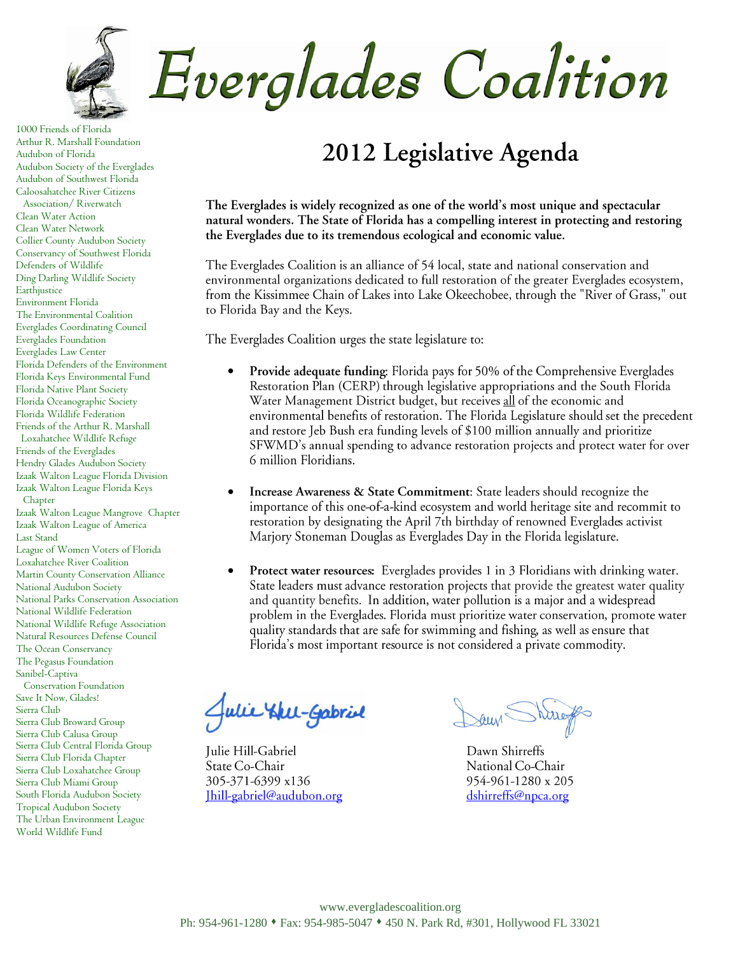

Everglades Coalition

1000 Friends of Florida Arthur R. Marshall Foundation Audubon of Florida Audubon Society of the Everglades Audubon of Southwest Florida Caloosahatchee River Citizens Association/ Riverwatch Clean Water Action Clean Water Network Collier County Audubon Society Conservancy of Southwest Florida Defenders of Wildlife Ding Darling Wildlife Society Earthjustice Environment Florida The Environmental Coalition Everglades Coordinating Council Everglades Foundation Everglades Law Center Florida Defenders of the Environment Florida Keys Environmental Fund Florida Native Plant Society Florida Oceanographic Society Florida Wildlife Federation Friends of the Arthur R. Marshall Loxahatchee Wildlife Refuge Friends of the Everglades Hendry Glades Audubon Society Izaak Walton League Florida Division Izaak Walton League Florida Keys Chapter Izaak Walton League Mangrove Chapter Izaak Walton League of America Last Stand League of Women Voters of Florida Loxahatchee River Coalition Martin County Conservation Alliance National Audubon Society

National Parks Conservation Association National Wildlife Federation National Wildlife Refuge Association Natural Resources Defense Council

The Ocean Conservancy The Pegasus Foundation Sanibel-Captiva

 Conservation Foundation Save It Now, Glades!

Sierra Club

Sierra Club Broward Group Sierra Club Calusa Group Sierra Club Central Florida Group Sierra Club Florida Chapter Sierra Club Loxahatchee Group Sierra Club Miami Group South Florida Audubon Society

Tropical Audubon Society The Urban Environment League World Wildlife Fund

## 2012 Legislative Agenda

The Everglades is widely recognized as one of the world's most unique and spectacular natural wonders. The State of Florida has a compelling interest in protecting and restoring the Everglades due to its tremendous ecological and economic value.

The Everglades Coalition is an alliance of 54 local, state and national conservation and environmental organizations dedicated to full restoration of the greater Everglades ecosystem, from the Kissimmee Chain of Lakes into Lake Okeechobee, through the "River of Grass," out to Florida Bay and the Keys.

The Everglades Coalition urges the state legislature to:

- $\bullet$ Provide adequate funding: Florida pays for 50% of the Comprehensive Everglades Restoration Plan (CERP) through legislative appropriations and the South Florida Water Management District budget, but receives all of the economic and environmental benefits of restoration. The Florida Legislature should set the precedent and restore Jeb Bush era funding levels of \$100 million annually and prioritize SFWMD's annual spending to advance restoration projects and protect water for over 6 million Floridians.
- $\bullet$ Increase Awareness & State Commitment: State leaders should recognize the importance of this one-of-a-kind ecosystem and world heritage site and recommit to restoration by designating the April 7th birthday of renowned Everglades activist Marjory Stoneman Douglas as Everglades Day in the Florida legislature.
- $\bullet$ Protect water resources: Everglades provides 1 in 3 Floridians with drinking water. State leaders must advance restoration projects that provide the greatest water quality and quantity benefits. In addition, water pollution is a major and a widespread problem in the Everglades. Florida must prioritize water conservation, promote water quality standards that are safe for swimming and fishing, as well as ensure that Florida's most important resource is not considered a private commodity.

Hell-Gabriel

Julie Hill-Gabriel State Co-Chair 305-371-6399 x136 Ihill-gabriel@audubon.org

Dawn Shirreffs National Co-Chair 954-961-1280 x 205 dshirreffs@npca.org